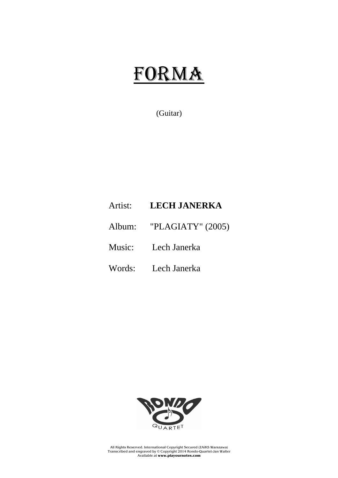## FORMA

## (Guitar)

## Artist: **LECH JANERKA**

- Album: "PLAGIATY" (2005)
- Music: Lech Janerka
- Words: Lech Janerka



All Rights Reserved. International Copyright Secured (ZAiKS Warszawa) Transcribed and engraved by © Copyright 2014 Rondo-Quartet-Jan Walter Available at **www.playournotes.com**